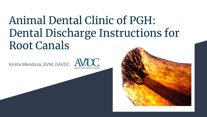## Animal Dental Clinic of PGH: Dental Discharge Instructions for Root Canals

Krista Mendoza, DVM, DAVDC



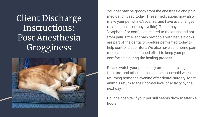Client Discharge Instructions: Post Anesthesia **Grogginess** 



Your pet may be groggy from the anesthesia and pain medication used today. These medications may also make your pet whine/vocalize, and have eye changes (dilated pupils, droopy eyelids). There may also be "dysphoria" or confusion related to the drugs and not from pain. Excellent pain protocols with nerve blocks are part of the dental procedure performed today to help control discomfort. We also have sent home pain medication in a continued effort to keep your pet comfortable during the healing process.

Please watch your pet closely around stairs, high furniture, and other animals in the household when returning home the evening after dental surgery. Most animals return to their normal level of activity by the next day.

Call the hospital if your pet still seems drowsy after 24 hours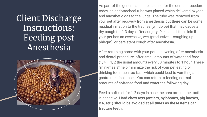Client Discharge Instructions: Feeding post Anesthesia



As part of the general anesthesia used for the dental procedure today, an endotracheal tube was placed which delivered oxygen and anesthetic gas to the lungs. The tube was removed from your pet after recovery from anesthesia, but there can be some residual irritation to the trachea (windpipe) that may cause a dry cough for 1-3 days after surgery. Please call the clinic if your pet has an excessive, wet (productive – coughing up phlegm), or persistent cough after anesthesia.

After returning home with your pet the evening after anesthesia and dental procedure, offer small amounts of water and food  $(1/4 - 1/2)$  the usual amount) every 30 minutes to 1 hour. These "mini-meals" help minimize the risk of your pet eating or drinking too much too fast, which could lead to vomiting and gastrointestinal upset. You can return to feeding normal amounts of softened food and water the following day.

Feed a soft diet for 1-2 days in case the area around the tooth is sensitive. **Hard chew toys (antlers, nylabones, pig hooves, ice, etc.) should be avoided at all times as these items can fracture teeth.**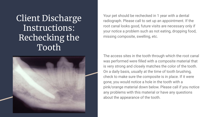Client Discharge Instructions: Rechecking the Tooth



Your pet should be rechecked in 1 year with a dental radiograph. Please call to set up an appointment. If the root canal looks good, future visits are necessary only if your notice a problem such as not eating, dropping food, missing composite, swelling, etc.

The access sites in the tooth through which the root canal was performed were filled with a composite material that is very strong and closely matches the color of the tooth. On a daily basis, usually at the time of tooth brushing, check to make sure the composite is in place. If it were gone, you would notice a hole in the tooth with a pink/orange material down below. Please call if you notice any problems with this material or have any questions about the appearance of the tooth.